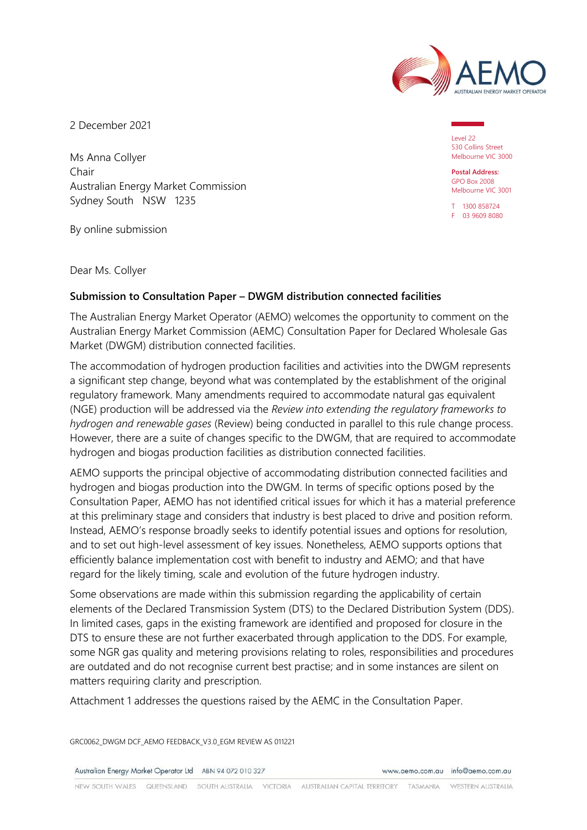

2 December 2021

Ms Anna Collyer Chair Australian Energy Market Commission Sydney South NSW 1235

By online submission

Dear Ms. Collyer

### **Submission to Consultation Paper – DWGM distribution connected facilities**

The Australian Energy Market Operator (AEMO) welcomes the opportunity to comment on the Australian Energy Market Commission (AEMC) Consultation Paper for Declared Wholesale Gas Market (DWGM) distribution connected facilities.

The accommodation of hydrogen production facilities and activities into the DWGM represents a significant step change, beyond what was contemplated by the establishment of the original regulatory framework. Many amendments required to accommodate natural gas equivalent (NGE) production will be addressed via the *Review into extending the regulatory frameworks to hydrogen and renewable gases* (Review) being conducted in parallel to this rule change process. However, there are a suite of changes specific to the DWGM, that are required to accommodate hydrogen and biogas production facilities as distribution connected facilities.

AEMO supports the principal objective of accommodating distribution connected facilities and hydrogen and biogas production into the DWGM. In terms of specific options posed by the Consultation Paper, AEMO has not identified critical issues for which it has a material preference at this preliminary stage and considers that industry is best placed to drive and position reform. Instead, AEMO's response broadly seeks to identify potential issues and options for resolution, and to set out high-level assessment of key issues. Nonetheless, AEMO supports options that efficiently balance implementation cost with benefit to industry and AEMO; and that have regard for the likely timing, scale and evolution of the future hydrogen industry.

Some observations are made within this submission regarding the applicability of certain elements of the Declared Transmission System (DTS) to the Declared Distribution System (DDS). In limited cases, gaps in the existing framework are identified and proposed for closure in the DTS to ensure these are not further exacerbated through application to the DDS. For example, some NGR gas quality and metering provisions relating to roles, responsibilities and procedures are outdated and do not recognise current best practise; and in some instances are silent on matters requiring clarity and prescription.

Attachment 1 addresses the questions raised by the AEMC in the Consultation Paper.

GRC0062\_DWGM DCF\_AEMO FEEDBACK\_V3.0\_EGM REVIEW AS 011221

Australian Energy Market Operator Ltd ABN 94 072 010 327

www.aemo.com.au info@aemo.com.au

Level 22 530 Collins Street Melbourne VIC 3000

**Postal Address:** GPO Box 2008 Melbourne VIC 3001

T 1300 858724 F 03 9609 8080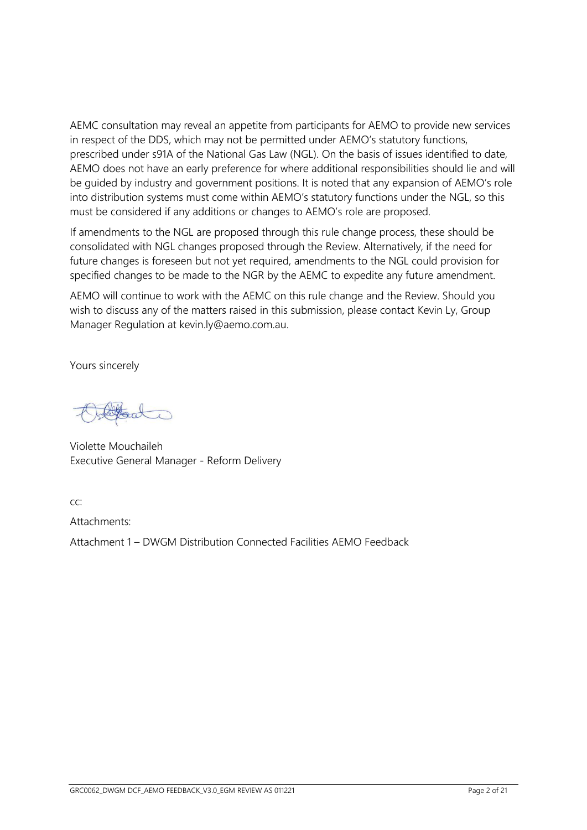AEMC consultation may reveal an appetite from participants for AEMO to provide new services in respect of the DDS, which may not be permitted under AEMO's statutory functions, prescribed under s91A of the National Gas Law (NGL). On the basis of issues identified to date, AEMO does not have an early preference for where additional responsibilities should lie and will be guided by industry and government positions. It is noted that any expansion of AEMO's role into distribution systems must come within AEMO's statutory functions under the NGL, so this must be considered if any additions or changes to AEMO's role are proposed.

If amendments to the NGL are proposed through this rule change process, these should be consolidated with NGL changes proposed through the Review. Alternatively, if the need for future changes is foreseen but not yet required, amendments to the NGL could provision for specified changes to be made to the NGR by the AEMC to expedite any future amendment.

AEMO will continue to work with the AEMC on this rule change and the Review. Should you wish to discuss any of the matters raised in this submission, please contact Kevin Ly, Group Manager Regulation at kevin.ly@aemo.com.au.

Yours sincerely

Violette Mouchaileh Executive General Manager - Reform Delivery

 $CC$ 

Attachments:

Attachment 1 – DWGM Distribution Connected Facilities AEMO Feedback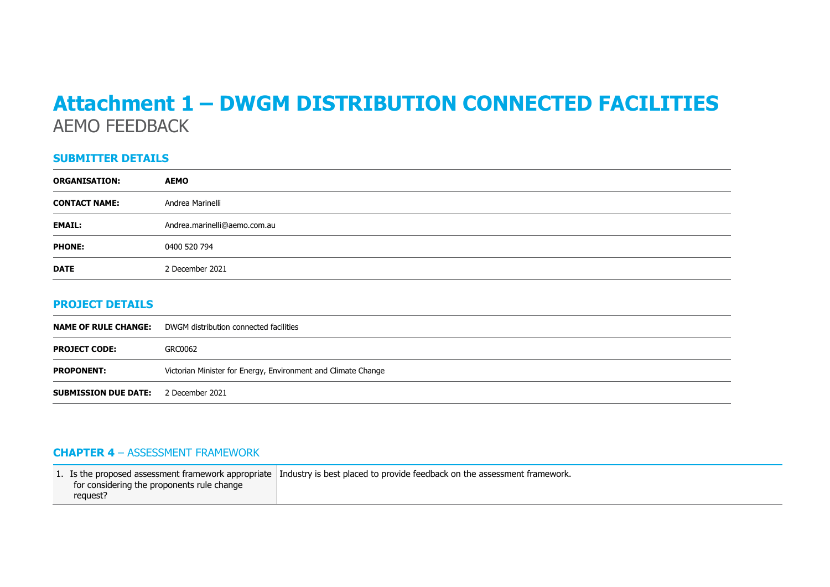# **Attachment 1 – DWGM DISTRIBUTION CONNECTED FACILITIES** AEMO FEEDBACK

### **SUBMITTER DETAILS**

| <b>ORGANISATION:</b> | <b>AEMO</b>                  |
|----------------------|------------------------------|
| <b>CONTACT NAME:</b> | Andrea Marinelli             |
| <b>EMAIL:</b>        | Andrea.marinelli@aemo.com.au |
| <b>PHONE:</b>        | 0400 520 794                 |
| <b>DATE</b>          | 2 December 2021              |

### **PROJECT DETAILS**

|                                             | <b>NAME OF RULE CHANGE:</b> DWGM distribution connected facilities |
|---------------------------------------------|--------------------------------------------------------------------|
| <b>PROJECT CODE:</b>                        | GRC0062                                                            |
| <b>PROPONENT:</b>                           | Victorian Minister for Energy, Environment and Climate Change      |
| <b>SUBMISSION DUE DATE:</b> 2 December 2021 |                                                                    |

## **CHAPTER 4** – ASSESSMENT FRAMEWORK

|                                            | 1. Is the proposed assessment framework appropriate Industry is best placed to provide feedback on the assessment framework. |
|--------------------------------------------|------------------------------------------------------------------------------------------------------------------------------|
| for considering the proponents rule change |                                                                                                                              |
| request?                                   |                                                                                                                              |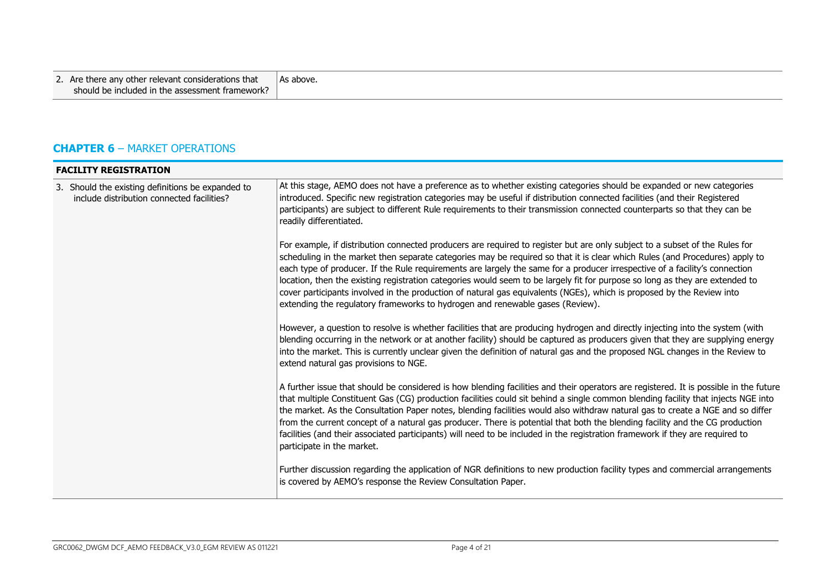| 2. Are there any other relevant considerations that<br>  As above.<br>should be included in the assessment framework? |
|-----------------------------------------------------------------------------------------------------------------------|
|-----------------------------------------------------------------------------------------------------------------------|

# **CHAPTER 6** – MARKET OPERATIONS

| <b>FACILITY REGISTRATION</b>                                                                    |                                                                                                                                                                                                                                                                                                                                                                                                                                                                                                                                                                                                                                                                                                                                     |  |
|-------------------------------------------------------------------------------------------------|-------------------------------------------------------------------------------------------------------------------------------------------------------------------------------------------------------------------------------------------------------------------------------------------------------------------------------------------------------------------------------------------------------------------------------------------------------------------------------------------------------------------------------------------------------------------------------------------------------------------------------------------------------------------------------------------------------------------------------------|--|
| 3. Should the existing definitions be expanded to<br>include distribution connected facilities? | At this stage, AEMO does not have a preference as to whether existing categories should be expanded or new categories<br>introduced. Specific new registration categories may be useful if distribution connected facilities (and their Registered<br>participants) are subject to different Rule requirements to their transmission connected counterparts so that they can be<br>readily differentiated.                                                                                                                                                                                                                                                                                                                          |  |
|                                                                                                 | For example, if distribution connected producers are required to register but are only subject to a subset of the Rules for<br>scheduling in the market then separate categories may be required so that it is clear which Rules (and Procedures) apply to<br>each type of producer. If the Rule requirements are largely the same for a producer irrespective of a facility's connection<br>location, then the existing registration categories would seem to be largely fit for purpose so long as they are extended to<br>cover participants involved in the production of natural gas equivalents (NGEs), which is proposed by the Review into<br>extending the regulatory frameworks to hydrogen and renewable gases (Review). |  |
|                                                                                                 | However, a question to resolve is whether facilities that are producing hydrogen and directly injecting into the system (with<br>blending occurring in the network or at another facility) should be captured as producers given that they are supplying energy<br>into the market. This is currently unclear given the definition of natural gas and the proposed NGL changes in the Review to<br>extend natural gas provisions to NGE.                                                                                                                                                                                                                                                                                            |  |
|                                                                                                 | A further issue that should be considered is how blending facilities and their operators are registered. It is possible in the future<br>that multiple Constituent Gas (CG) production facilities could sit behind a single common blending facility that injects NGE into<br>the market. As the Consultation Paper notes, blending facilities would also withdraw natural gas to create a NGE and so differ<br>from the current concept of a natural gas producer. There is potential that both the blending facility and the CG production<br>facilities (and their associated participants) will need to be included in the registration framework if they are required to<br>participate in the market.                         |  |
|                                                                                                 | Further discussion regarding the application of NGR definitions to new production facility types and commercial arrangements<br>is covered by AEMO's response the Review Consultation Paper.                                                                                                                                                                                                                                                                                                                                                                                                                                                                                                                                        |  |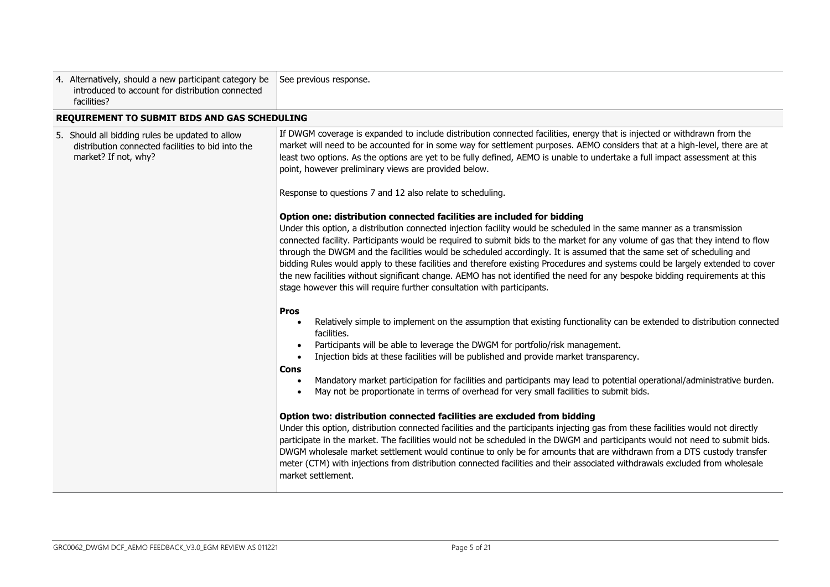| 4. Alternatively, should a new participant category be<br>introduced to account for distribution connected<br>facilities?    | See previous response.                                                                                                                                                                                                                                                                                                                                                                                                                                                                                                                                                                                                                                                                                                                                                                                   |
|------------------------------------------------------------------------------------------------------------------------------|----------------------------------------------------------------------------------------------------------------------------------------------------------------------------------------------------------------------------------------------------------------------------------------------------------------------------------------------------------------------------------------------------------------------------------------------------------------------------------------------------------------------------------------------------------------------------------------------------------------------------------------------------------------------------------------------------------------------------------------------------------------------------------------------------------|
| REQUIREMENT TO SUBMIT BIDS AND GAS SCHEDULING                                                                                |                                                                                                                                                                                                                                                                                                                                                                                                                                                                                                                                                                                                                                                                                                                                                                                                          |
| 5. Should all bidding rules be updated to allow<br>distribution connected facilities to bid into the<br>market? If not, why? | If DWGM coverage is expanded to include distribution connected facilities, energy that is injected or withdrawn from the<br>market will need to be accounted for in some way for settlement purposes. AEMO considers that at a high-level, there are at<br>least two options. As the options are yet to be fully defined, AEMO is unable to undertake a full impact assessment at this<br>point, however preliminary views are provided below.                                                                                                                                                                                                                                                                                                                                                           |
|                                                                                                                              | Response to questions 7 and 12 also relate to scheduling.                                                                                                                                                                                                                                                                                                                                                                                                                                                                                                                                                                                                                                                                                                                                                |
|                                                                                                                              | Option one: distribution connected facilities are included for bidding<br>Under this option, a distribution connected injection facility would be scheduled in the same manner as a transmission<br>connected facility. Participants would be required to submit bids to the market for any volume of gas that they intend to flow<br>through the DWGM and the facilities would be scheduled accordingly. It is assumed that the same set of scheduling and<br>bidding Rules would apply to these facilities and therefore existing Procedures and systems could be largely extended to cover<br>the new facilities without significant change. AEMO has not identified the need for any bespoke bidding requirements at this<br>stage however this will require further consultation with participants. |
|                                                                                                                              | <b>Pros</b><br>Relatively simple to implement on the assumption that existing functionality can be extended to distribution connected<br>facilities.<br>Participants will be able to leverage the DWGM for portfolio/risk management.<br>Injection bids at these facilities will be published and provide market transparency.<br>$\bullet$<br>Cons<br>Mandatory market participation for facilities and participants may lead to potential operational/administrative burden.<br>May not be proportionate in terms of overhead for very small facilities to submit bids.                                                                                                                                                                                                                                |
|                                                                                                                              | Option two: distribution connected facilities are excluded from bidding<br>Under this option, distribution connected facilities and the participants injecting gas from these facilities would not directly<br>participate in the market. The facilities would not be scheduled in the DWGM and participants would not need to submit bids.<br>DWGM wholesale market settlement would continue to only be for amounts that are withdrawn from a DTS custody transfer<br>meter (CTM) with injections from distribution connected facilities and their associated withdrawals excluded from wholesale<br>market settlement.                                                                                                                                                                                |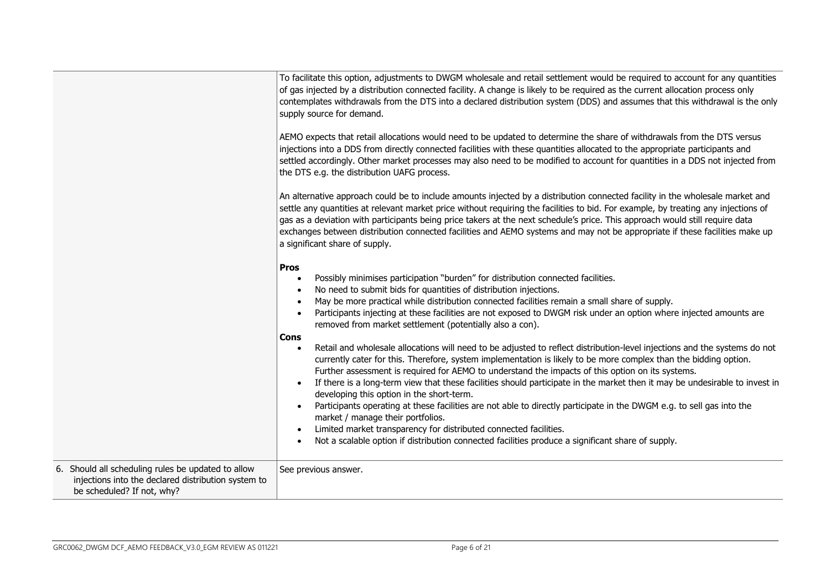|                                                                                                                                         | To facilitate this option, adjustments to DWGM wholesale and retail settlement would be required to account for any quantities<br>of gas injected by a distribution connected facility. A change is likely to be required as the current allocation process only<br>contemplates withdrawals from the DTS into a declared distribution system (DDS) and assumes that this withdrawal is the only<br>supply source for demand.<br>AEMO expects that retail allocations would need to be updated to determine the share of withdrawals from the DTS versus<br>injections into a DDS from directly connected facilities with these quantities allocated to the appropriate participants and<br>settled accordingly. Other market processes may also need to be modified to account for quantities in a DDS not injected from<br>the DTS e.g. the distribution UAFG process.<br>An alternative approach could be to include amounts injected by a distribution connected facility in the wholesale market and<br>settle any quantities at relevant market price without requiring the facilities to bid. For example, by treating any injections of<br>gas as a deviation with participants being price takers at the next schedule's price. This approach would still require data<br>exchanges between distribution connected facilities and AEMO systems and may not be appropriate if these facilities make up<br>a significant share of supply. |
|-----------------------------------------------------------------------------------------------------------------------------------------|--------------------------------------------------------------------------------------------------------------------------------------------------------------------------------------------------------------------------------------------------------------------------------------------------------------------------------------------------------------------------------------------------------------------------------------------------------------------------------------------------------------------------------------------------------------------------------------------------------------------------------------------------------------------------------------------------------------------------------------------------------------------------------------------------------------------------------------------------------------------------------------------------------------------------------------------------------------------------------------------------------------------------------------------------------------------------------------------------------------------------------------------------------------------------------------------------------------------------------------------------------------------------------------------------------------------------------------------------------------------------------------------------------------------------------------------------|
|                                                                                                                                         | <b>Pros</b><br>Possibly minimises participation "burden" for distribution connected facilities.<br>No need to submit bids for quantities of distribution injections.<br>May be more practical while distribution connected facilities remain a small share of supply.<br>Participants injecting at these facilities are not exposed to DWGM risk under an option where injected amounts are<br>removed from market settlement (potentially also a con).<br><b>Cons</b>                                                                                                                                                                                                                                                                                                                                                                                                                                                                                                                                                                                                                                                                                                                                                                                                                                                                                                                                                                           |
|                                                                                                                                         | Retail and wholesale allocations will need to be adjusted to reflect distribution-level injections and the systems do not<br>currently cater for this. Therefore, system implementation is likely to be more complex than the bidding option.<br>Further assessment is required for AEMO to understand the impacts of this option on its systems.<br>If there is a long-term view that these facilities should participate in the market then it may be undesirable to invest in<br>$\bullet$<br>developing this option in the short-term.<br>Participants operating at these facilities are not able to directly participate in the DWGM e.g. to sell gas into the<br>market / manage their portfolios.<br>Limited market transparency for distributed connected facilities.<br>Not a scalable option if distribution connected facilities produce a significant share of supply.                                                                                                                                                                                                                                                                                                                                                                                                                                                                                                                                                               |
| 6. Should all scheduling rules be updated to allow<br>injections into the declared distribution system to<br>be scheduled? If not, why? | See previous answer.                                                                                                                                                                                                                                                                                                                                                                                                                                                                                                                                                                                                                                                                                                                                                                                                                                                                                                                                                                                                                                                                                                                                                                                                                                                                                                                                                                                                                             |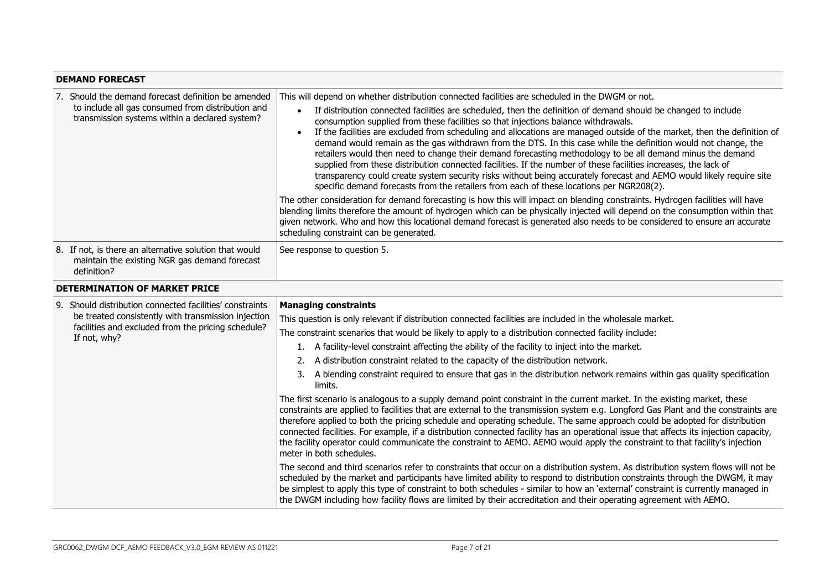#### **DEMAND FORECAST** 7. Should the demand forecast definition be amended to include all gas consumed from distribution and transmission systems within a declared system? This will depend on whether distribution connected facilities are scheduled in the DWGM or not. • If distribution connected facilities are scheduled, then the definition of demand should be changed to include consumption supplied from these facilities so that injections balance withdrawals. • If the facilities are excluded from scheduling and allocations are managed outside of the market, then the definition of demand would remain as the gas withdrawn from the DTS. In this case while the definition would not change, the retailers would then need to change their demand forecasting methodology to be all demand minus the demand supplied from these distribution connected facilities. If the number of these facilities increases, the lack of transparency could create system security risks without being accurately forecast and AEMO would likely require site specific demand forecasts from the retailers from each of these locations per NGR208(2). The other consideration for demand forecasting is how this will impact on blending constraints. Hydrogen facilities will have blending limits therefore the amount of hydrogen which can be physically injected will depend on the consumption within that given network. Who and how this locational demand forecast is generated also needs to be considered to ensure an accurate scheduling constraint can be generated. 8. If not, is there an alternative solution that would maintain the existing NGR gas demand forecast definition? See response to question 5. **DETERMINATION OF MARKET PRICE** 9. Should distribution connected facilities' constraints be treated consistently with transmission injection facilities and excluded from the pricing schedule? If not, why? **Managing constraints** This question is only relevant if distribution connected facilities are included in the wholesale market. The constraint scenarios that would be likely to apply to a distribution connected facility include: 1. A facility-level constraint affecting the ability of the facility to inject into the market. 2. A distribution constraint related to the capacity of the distribution network. 3. A blending constraint required to ensure that gas in the distribution network remains within gas quality specification limits. The first scenario is analogous to a supply demand point constraint in the current market. In the existing market, these constraints are applied to facilities that are external to the transmission system e.g. Longford Gas Plant and the constraints are therefore applied to both the pricing schedule and operating schedule. The same approach could be adopted for distribution connected facilities. For example, if a distribution connected facility has an operational issue that affects its injection capacity, the facility operator could communicate the constraint to AEMO. AEMO would apply the constraint to that facility's injection meter in both schedules. The second and third scenarios refer to constraints that occur on a distribution system. As distribution system flows will not be scheduled by the market and participants have limited ability to respond to distribution constraints through the DWGM, it may be simplest to apply this type of constraint to both schedules - similar to how an 'external' constraint is currently managed in the DWGM including how facility flows are limited by their accreditation and their operating agreement with AEMO.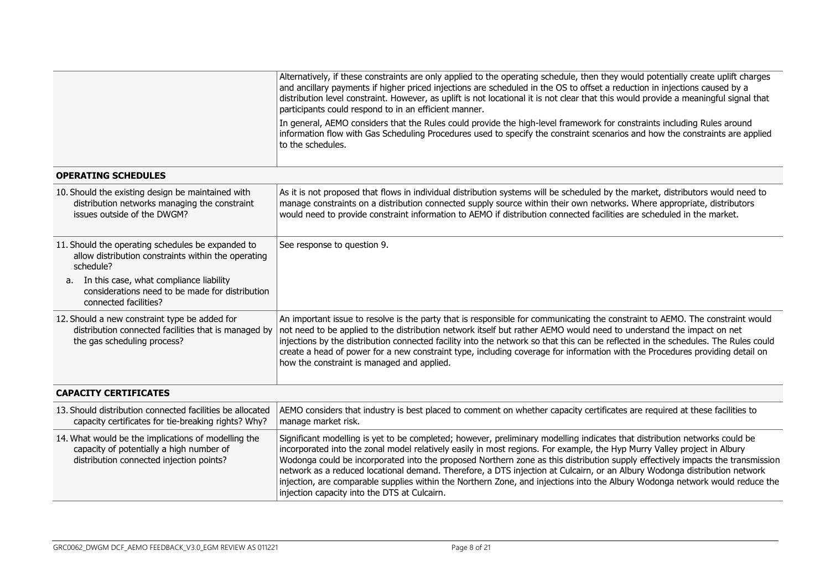| Alternatively, if these constraints are only applied to the operating schedule, then they would potentially create uplift charges<br>and ancillary payments if higher priced injections are scheduled in the OS to offset a reduction in injections caused by a<br>distribution level constraint. However, as uplift is not locational it is not clear that this would provide a meaningful signal that<br>participants could respond to in an efficient manner.                                                                                                                                                                                                                                      |
|-------------------------------------------------------------------------------------------------------------------------------------------------------------------------------------------------------------------------------------------------------------------------------------------------------------------------------------------------------------------------------------------------------------------------------------------------------------------------------------------------------------------------------------------------------------------------------------------------------------------------------------------------------------------------------------------------------|
| In general, AEMO considers that the Rules could provide the high-level framework for constraints including Rules around<br>information flow with Gas Scheduling Procedures used to specify the constraint scenarios and how the constraints are applied<br>to the schedules.                                                                                                                                                                                                                                                                                                                                                                                                                          |
|                                                                                                                                                                                                                                                                                                                                                                                                                                                                                                                                                                                                                                                                                                       |
| As it is not proposed that flows in individual distribution systems will be scheduled by the market, distributors would need to<br>manage constraints on a distribution connected supply source within their own networks. Where appropriate, distributors<br>would need to provide constraint information to AEMO if distribution connected facilities are scheduled in the market.                                                                                                                                                                                                                                                                                                                  |
| See response to question 9.                                                                                                                                                                                                                                                                                                                                                                                                                                                                                                                                                                                                                                                                           |
|                                                                                                                                                                                                                                                                                                                                                                                                                                                                                                                                                                                                                                                                                                       |
| An important issue to resolve is the party that is responsible for communicating the constraint to AEMO. The constraint would<br>not need to be applied to the distribution network itself but rather AEMO would need to understand the impact on net<br>injections by the distribution connected facility into the network so that this can be reflected in the schedules. The Rules could<br>create a head of power for a new constraint type, including coverage for information with the Procedures providing detail on<br>how the constraint is managed and applied.                                                                                                                             |
|                                                                                                                                                                                                                                                                                                                                                                                                                                                                                                                                                                                                                                                                                                       |
| AEMO considers that industry is best placed to comment on whether capacity certificates are required at these facilities to<br>manage market risk.                                                                                                                                                                                                                                                                                                                                                                                                                                                                                                                                                    |
| Significant modelling is yet to be completed; however, preliminary modelling indicates that distribution networks could be<br>incorporated into the zonal model relatively easily in most regions. For example, the Hyp Murry Valley project in Albury<br>Wodonga could be incorporated into the proposed Northern zone as this distribution supply effectively impacts the transmission<br>network as a reduced locational demand. Therefore, a DTS injection at Culcairn, or an Albury Wodonga distribution network<br>injection, are comparable supplies within the Northern Zone, and injections into the Albury Wodonga network would reduce the<br>injection capacity into the DTS at Culcairn. |
| distribution connected facilities that is managed by                                                                                                                                                                                                                                                                                                                                                                                                                                                                                                                                                                                                                                                  |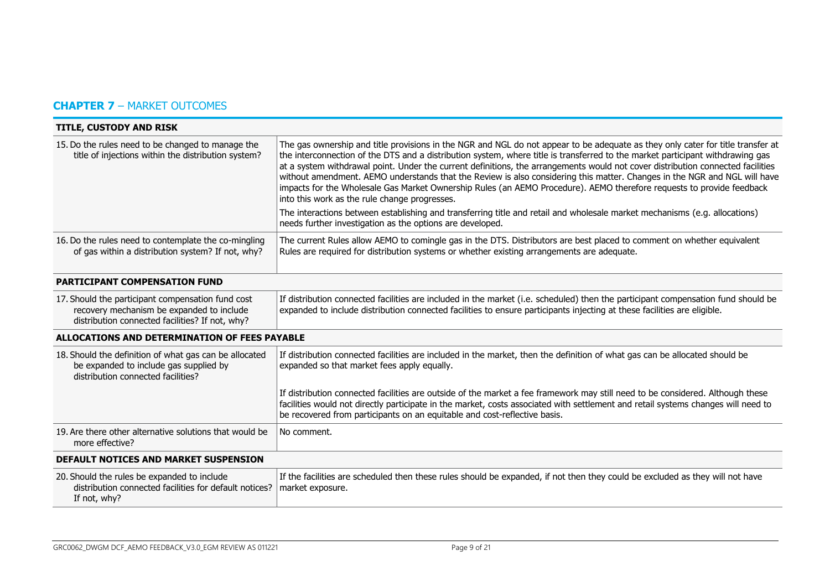# **CHAPTER 7** – MARKET OUTCOMES

| <b>TITLE, CUSTODY AND RISK</b>                                                                                                                    |                                                                                                                                                                                                                                                                                                                                                                                                                                                                                                                                                                                                                                                                                                                                                                                                                                           |  |
|---------------------------------------------------------------------------------------------------------------------------------------------------|-------------------------------------------------------------------------------------------------------------------------------------------------------------------------------------------------------------------------------------------------------------------------------------------------------------------------------------------------------------------------------------------------------------------------------------------------------------------------------------------------------------------------------------------------------------------------------------------------------------------------------------------------------------------------------------------------------------------------------------------------------------------------------------------------------------------------------------------|--|
| 15. Do the rules need to be changed to manage the<br>title of injections within the distribution system?                                          | The gas ownership and title provisions in the NGR and NGL do not appear to be adequate as they only cater for title transfer at<br>the interconnection of the DTS and a distribution system, where title is transferred to the market participant withdrawing gas<br>at a system withdrawal point. Under the current definitions, the arrangements would not cover distribution connected facilities<br>without amendment. AEMO understands that the Review is also considering this matter. Changes in the NGR and NGL will have<br>impacts for the Wholesale Gas Market Ownership Rules (an AEMO Procedure). AEMO therefore requests to provide feedback<br>into this work as the rule change progresses.<br>The interactions between establishing and transferring title and retail and wholesale market mechanisms (e.g. allocations) |  |
|                                                                                                                                                   | needs further investigation as the options are developed.                                                                                                                                                                                                                                                                                                                                                                                                                                                                                                                                                                                                                                                                                                                                                                                 |  |
| 16. Do the rules need to contemplate the co-mingling<br>of gas within a distribution system? If not, why?                                         | The current Rules allow AEMO to comingle gas in the DTS. Distributors are best placed to comment on whether equivalent<br>Rules are required for distribution systems or whether existing arrangements are adequate.                                                                                                                                                                                                                                                                                                                                                                                                                                                                                                                                                                                                                      |  |
| PARTICIPANT COMPENSATION FUND                                                                                                                     |                                                                                                                                                                                                                                                                                                                                                                                                                                                                                                                                                                                                                                                                                                                                                                                                                                           |  |
| 17. Should the participant compensation fund cost<br>recovery mechanism be expanded to include<br>distribution connected facilities? If not, why? | If distribution connected facilities are included in the market (i.e. scheduled) then the participant compensation fund should be<br>expanded to include distribution connected facilities to ensure participants injecting at these facilities are eligible.                                                                                                                                                                                                                                                                                                                                                                                                                                                                                                                                                                             |  |
| ALLOCATIONS AND DETERMINATION OF FEES PAYABLE                                                                                                     |                                                                                                                                                                                                                                                                                                                                                                                                                                                                                                                                                                                                                                                                                                                                                                                                                                           |  |
| 18. Should the definition of what gas can be allocated<br>be expanded to include gas supplied by<br>distribution connected facilities?            | If distribution connected facilities are included in the market, then the definition of what gas can be allocated should be<br>expanded so that market fees apply equally.                                                                                                                                                                                                                                                                                                                                                                                                                                                                                                                                                                                                                                                                |  |
|                                                                                                                                                   | If distribution connected facilities are outside of the market a fee framework may still need to be considered. Although these<br>facilities would not directly participate in the market, costs associated with settlement and retail systems changes will need to<br>be recovered from participants on an equitable and cost-reflective basis.                                                                                                                                                                                                                                                                                                                                                                                                                                                                                          |  |
| 19. Are there other alternative solutions that would be<br>more effective?                                                                        | No comment.                                                                                                                                                                                                                                                                                                                                                                                                                                                                                                                                                                                                                                                                                                                                                                                                                               |  |
| <b>DEFAULT NOTICES AND MARKET SUSPENSION</b>                                                                                                      |                                                                                                                                                                                                                                                                                                                                                                                                                                                                                                                                                                                                                                                                                                                                                                                                                                           |  |
| 20. Should the rules be expanded to include<br>distribution connected facilities for default notices?<br>If not, why?                             | If the facilities are scheduled then these rules should be expanded, if not then they could be excluded as they will not have<br>market exposure.                                                                                                                                                                                                                                                                                                                                                                                                                                                                                                                                                                                                                                                                                         |  |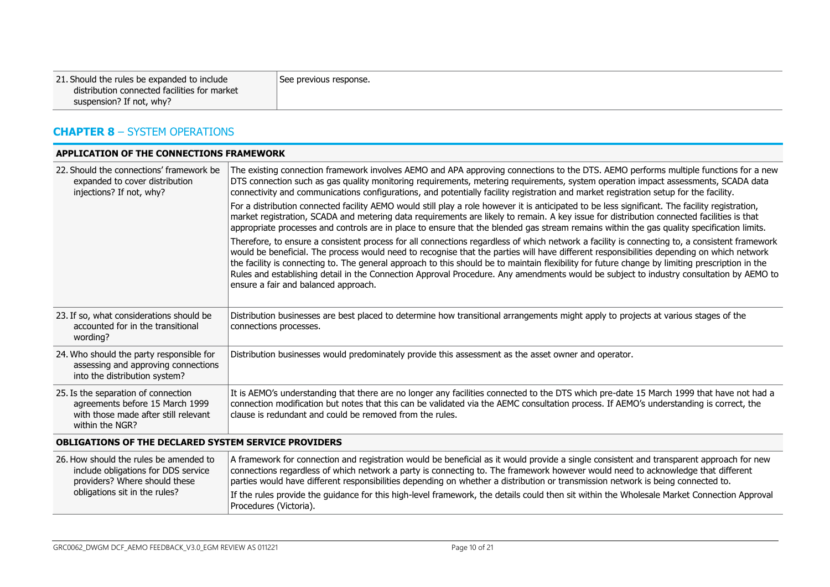| 21. Should the rules be expanded to include  | See previous response. |
|----------------------------------------------|------------------------|
| distribution connected facilities for market |                        |
| suspension? If not, why?                     |                        |

## **CHAPTER 8** – SYSTEM OPERATIONS

| APPLICATION OF THE CONNECTIONS FRAMEWORK                                                                                          |                                                                                                                                                                                                                                                                                                                                                                                                                                                                                                                                                                                                                                  |  |
|-----------------------------------------------------------------------------------------------------------------------------------|----------------------------------------------------------------------------------------------------------------------------------------------------------------------------------------------------------------------------------------------------------------------------------------------------------------------------------------------------------------------------------------------------------------------------------------------------------------------------------------------------------------------------------------------------------------------------------------------------------------------------------|--|
| 22. Should the connections' framework be<br>expanded to cover distribution<br>injections? If not, why?                            | The existing connection framework involves AEMO and APA approving connections to the DTS. AEMO performs multiple functions for a new<br>DTS connection such as gas quality monitoring requirements, metering requirements, system operation impact assessments, SCADA data<br>connectivity and communications configurations, and potentially facility registration and market registration setup for the facility.                                                                                                                                                                                                              |  |
|                                                                                                                                   | For a distribution connected facility AEMO would still play a role however it is anticipated to be less significant. The facility registration,<br>market registration, SCADA and metering data requirements are likely to remain. A key issue for distribution connected facilities is that<br>appropriate processes and controls are in place to ensure that the blended gas stream remains within the gas quality specification limits.                                                                                                                                                                                       |  |
|                                                                                                                                   | Therefore, to ensure a consistent process for all connections regardless of which network a facility is connecting to, a consistent framework<br>would be beneficial. The process would need to recognise that the parties will have different responsibilities depending on which network<br>the facility is connecting to. The general approach to this should be to maintain flexibility for future change by limiting prescription in the<br>Rules and establishing detail in the Connection Approval Procedure. Any amendments would be subject to industry consultation by AEMO to<br>ensure a fair and balanced approach. |  |
| 23. If so, what considerations should be<br>accounted for in the transitional<br>wording?                                         | Distribution businesses are best placed to determine how transitional arrangements might apply to projects at various stages of the<br>connections processes.                                                                                                                                                                                                                                                                                                                                                                                                                                                                    |  |
| 24. Who should the party responsible for<br>assessing and approving connections<br>into the distribution system?                  | Distribution businesses would predominately provide this assessment as the asset owner and operator.                                                                                                                                                                                                                                                                                                                                                                                                                                                                                                                             |  |
| 25. Is the separation of connection<br>agreements before 15 March 1999<br>with those made after still relevant<br>within the NGR? | It is AEMO's understanding that there are no longer any facilities connected to the DTS which pre-date 15 March 1999 that have not had a<br>connection modification but notes that this can be validated via the AEMC consultation process. If AEMO's understanding is correct, the<br>clause is redundant and could be removed from the rules.                                                                                                                                                                                                                                                                                  |  |
| <b>OBLIGATIONS OF THE DECLARED SYSTEM SERVICE PROVIDERS</b>                                                                       |                                                                                                                                                                                                                                                                                                                                                                                                                                                                                                                                                                                                                                  |  |
| 26. How should the rules be amended to<br>include obligations for DDS service<br>providers? Where should these                    | A framework for connection and registration would be beneficial as it would provide a single consistent and transparent approach for new<br>connections regardless of which network a party is connecting to. The framework however would need to acknowledge that different<br>parties would have different responsibilities depending on whether a distribution or transmission network is being connected to.                                                                                                                                                                                                                 |  |
| obligations sit in the rules?                                                                                                     | If the rules provide the guidance for this high-level framework, the details could then sit within the Wholesale Market Connection Approval<br>Procedures (Victoria).                                                                                                                                                                                                                                                                                                                                                                                                                                                            |  |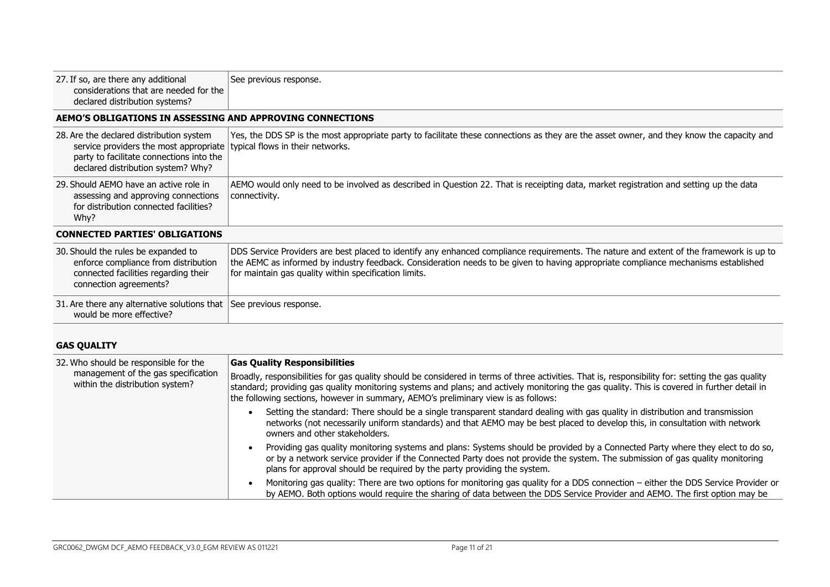| 27. If so, are there any additional<br>considerations that are needed for the<br>declared distribution systems?                                                                                       | See previous response.                                                                                                                                                                                                                                                                                                                 |  |
|-------------------------------------------------------------------------------------------------------------------------------------------------------------------------------------------------------|----------------------------------------------------------------------------------------------------------------------------------------------------------------------------------------------------------------------------------------------------------------------------------------------------------------------------------------|--|
| AEMO'S OBLIGATIONS IN ASSESSING AND APPROVING CONNECTIONS                                                                                                                                             |                                                                                                                                                                                                                                                                                                                                        |  |
| 28. Are the declared distribution system<br>service providers the most appropriate typical flows in their networks.<br>party to facilitate connections into the<br>declared distribution system? Why? | Yes, the DDS SP is the most appropriate party to facilitate these connections as they are the asset owner, and they know the capacity and                                                                                                                                                                                              |  |
| 29. Should AEMO have an active role in<br>assessing and approving connections<br>for distribution connected facilities?<br>Why?                                                                       | AEMO would only need to be involved as described in Question 22. That is receipting data, market registration and setting up the data<br>connectivity.                                                                                                                                                                                 |  |
| <b>CONNECTED PARTIES' OBLIGATIONS</b>                                                                                                                                                                 |                                                                                                                                                                                                                                                                                                                                        |  |
| 30. Should the rules be expanded to<br>enforce compliance from distribution<br>connected facilities regarding their<br>connection agreements?                                                         | DDS Service Providers are best placed to identify any enhanced compliance requirements. The nature and extent of the framework is up to<br>the AEMC as informed by industry feedback. Consideration needs to be given to having appropriate compliance mechanisms established<br>for maintain gas quality within specification limits. |  |
| 31. Are there any alternative solutions that See previous response.<br>would be more effective?                                                                                                       |                                                                                                                                                                                                                                                                                                                                        |  |

# **GAS QUALITY**

| 32. Who should be responsible for the                                  | <b>Gas Quality Responsibilities</b>                                                                                                                                                                                                                                                                                                                                                    |
|------------------------------------------------------------------------|----------------------------------------------------------------------------------------------------------------------------------------------------------------------------------------------------------------------------------------------------------------------------------------------------------------------------------------------------------------------------------------|
| management of the gas specification<br>within the distribution system? | Broadly, responsibilities for gas quality should be considered in terms of three activities. That is, responsibility for: setting the gas quality<br>standard; providing gas quality monitoring systems and plans; and actively monitoring the gas quality. This is covered in further detail in<br>the following sections, however in summary, AEMO's preliminary view is as follows: |
|                                                                        | Setting the standard: There should be a single transparent standard dealing with gas quality in distribution and transmission<br>networks (not necessarily uniform standards) and that AEMO may be best placed to develop this, in consultation with network<br>owners and other stakeholders.                                                                                         |
|                                                                        | Providing gas quality monitoring systems and plans: Systems should be provided by a Connected Party where they elect to do so,<br>or by a network service provider if the Connected Party does not provide the system. The submission of gas quality monitoring<br>plans for approval should be required by the party providing the system.                                            |
|                                                                        | Monitoring gas quality: There are two options for monitoring gas quality for a DDS connection – either the DDS Service Provider or<br>by AEMO. Both options would require the sharing of data between the DDS Service Provider and AEMO. The first option may be                                                                                                                       |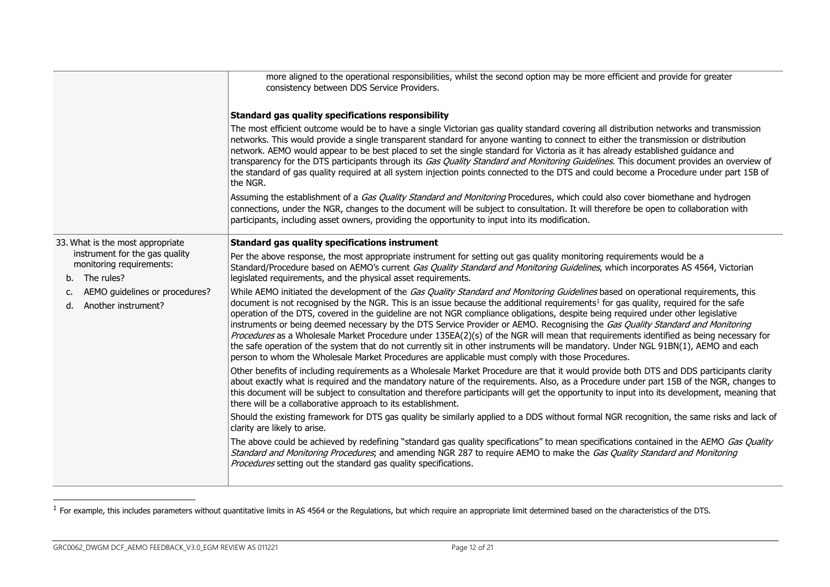|                                                                             | more aligned to the operational responsibilities, whilst the second option may be more efficient and provide for greater<br>consistency between DDS Service Providers.                                                                                                                                                                                                                                                                                                                                                                                                                                                                                                                                                                                                                                                                                                                                                                           |
|-----------------------------------------------------------------------------|--------------------------------------------------------------------------------------------------------------------------------------------------------------------------------------------------------------------------------------------------------------------------------------------------------------------------------------------------------------------------------------------------------------------------------------------------------------------------------------------------------------------------------------------------------------------------------------------------------------------------------------------------------------------------------------------------------------------------------------------------------------------------------------------------------------------------------------------------------------------------------------------------------------------------------------------------|
|                                                                             | Standard gas quality specifications responsibility                                                                                                                                                                                                                                                                                                                                                                                                                                                                                                                                                                                                                                                                                                                                                                                                                                                                                               |
|                                                                             | The most efficient outcome would be to have a single Victorian gas quality standard covering all distribution networks and transmission<br>networks. This would provide a single transparent standard for anyone wanting to connect to either the transmission or distribution<br>network. AEMO would appear to be best placed to set the single standard for Victoria as it has already established guidance and<br>transparency for the DTS participants through its Gas Quality Standard and Monitoring Guidelines. This document provides an overview of<br>the standard of gas quality required at all system injection points connected to the DTS and could become a Procedure under part 15B of<br>the NGR.                                                                                                                                                                                                                              |
|                                                                             | Assuming the establishment of a Gas Quality Standard and Monitoring Procedures, which could also cover biomethane and hydrogen<br>connections, under the NGR, changes to the document will be subject to consultation. It will therefore be open to collaboration with<br>participants, including asset owners, providing the opportunity to input into its modification.                                                                                                                                                                                                                                                                                                                                                                                                                                                                                                                                                                        |
| 33. What is the most appropriate                                            | Standard gas quality specifications instrument                                                                                                                                                                                                                                                                                                                                                                                                                                                                                                                                                                                                                                                                                                                                                                                                                                                                                                   |
| instrument for the gas quality<br>monitoring requirements:<br>b. The rules? | Per the above response, the most appropriate instrument for setting out gas quality monitoring requirements would be a<br>Standard/Procedure based on AEMO's current Gas Quality Standard and Monitoring Guidelines, which incorporates AS 4564, Victorian<br>legislated requirements, and the physical asset requirements.                                                                                                                                                                                                                                                                                                                                                                                                                                                                                                                                                                                                                      |
| AEMO guidelines or procedures?<br>c.<br>Another instrument?<br>$d_{\cdot}$  | While AEMO initiated the development of the Gas Quality Standard and Monitoring Guidelines based on operational requirements, this<br>document is not recognised by the NGR. This is an issue because the additional requirements <sup>1</sup> for gas quality, required for the safe<br>operation of the DTS, covered in the guideline are not NGR compliance obligations, despite being required under other legislative<br>instruments or being deemed necessary by the DTS Service Provider or AEMO. Recognising the Gas Quality Standard and Monitoring<br>Procedures as a Wholesale Market Procedure under 135EA(2)(s) of the NGR will mean that requirements identified as being necessary for<br>the safe operation of the system that do not currently sit in other instruments will be mandatory. Under NGL 91BN(1), AEMO and each<br>person to whom the Wholesale Market Procedures are applicable must comply with those Procedures. |
|                                                                             | Other benefits of including requirements as a Wholesale Market Procedure are that it would provide both DTS and DDS participants clarity<br>about exactly what is required and the mandatory nature of the requirements. Also, as a Procedure under part 15B of the NGR, changes to<br>this document will be subject to consultation and therefore participants will get the opportunity to input into its development, meaning that<br>there will be a collaborative approach to its establishment.                                                                                                                                                                                                                                                                                                                                                                                                                                             |
|                                                                             | Should the existing framework for DTS gas quality be similarly applied to a DDS without formal NGR recognition, the same risks and lack of<br>clarity are likely to arise.                                                                                                                                                                                                                                                                                                                                                                                                                                                                                                                                                                                                                                                                                                                                                                       |
|                                                                             | The above could be achieved by redefining "standard gas quality specifications" to mean specifications contained in the AEMO Gas Quality<br>Standard and Monitoring Procedures; and amending NGR 287 to require AEMO to make the Gas Quality Standard and Monitoring<br>Procedures setting out the standard gas quality specifications.                                                                                                                                                                                                                                                                                                                                                                                                                                                                                                                                                                                                          |
|                                                                             |                                                                                                                                                                                                                                                                                                                                                                                                                                                                                                                                                                                                                                                                                                                                                                                                                                                                                                                                                  |

 $^1$  For example, this includes parameters without quantitative limits in AS 4564 or the Regulations, but which require an appropriate limit determined based on the characteristics of the DTS.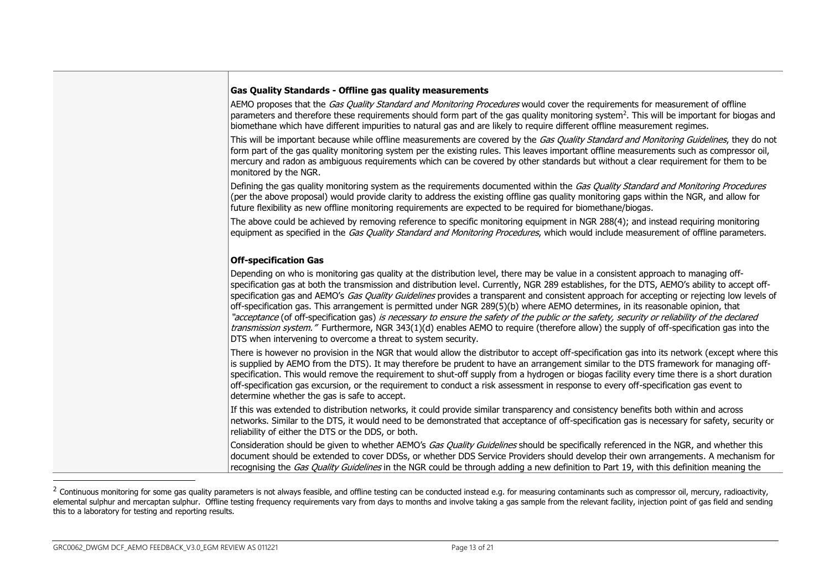| <b>Gas Quality Standards - Offline gas quality measurements</b>                                                                                                                                                                                                                                                                                                                                                                                                                                                                                                                                                                                                                                                                                                                                                                                                                                                                           |
|-------------------------------------------------------------------------------------------------------------------------------------------------------------------------------------------------------------------------------------------------------------------------------------------------------------------------------------------------------------------------------------------------------------------------------------------------------------------------------------------------------------------------------------------------------------------------------------------------------------------------------------------------------------------------------------------------------------------------------------------------------------------------------------------------------------------------------------------------------------------------------------------------------------------------------------------|
| AEMO proposes that the Gas Quality Standard and Monitoring Procedures would cover the requirements for measurement of offline<br>parameters and therefore these requirements should form part of the gas quality monitoring system <sup>2</sup> . This will be important for biogas and<br>biomethane which have different impurities to natural gas and are likely to require different offline measurement regimes.                                                                                                                                                                                                                                                                                                                                                                                                                                                                                                                     |
| This will be important because while offline measurements are covered by the Gas Quality Standard and Monitoring Guidelines, they do not<br>form part of the gas quality monitoring system per the existing rules. This leaves important offline measurements such as compressor oil,<br>mercury and radon as ambiguous requirements which can be covered by other standards but without a clear requirement for them to be<br>monitored by the NGR.                                                                                                                                                                                                                                                                                                                                                                                                                                                                                      |
| Defining the gas quality monitoring system as the requirements documented within the Gas Quality Standard and Monitoring Procedures<br>(per the above proposal) would provide clarity to address the existing offline gas quality monitoring gaps within the NGR, and allow for<br>future flexibility as new offline monitoring requirements are expected to be required for biomethane/biogas.                                                                                                                                                                                                                                                                                                                                                                                                                                                                                                                                           |
| The above could be achieved by removing reference to specific monitoring equipment in NGR 288(4); and instead requiring monitoring<br>equipment as specified in the Gas Quality Standard and Monitoring Procedures, which would include measurement of offline parameters.                                                                                                                                                                                                                                                                                                                                                                                                                                                                                                                                                                                                                                                                |
| <b>Off-specification Gas</b>                                                                                                                                                                                                                                                                                                                                                                                                                                                                                                                                                                                                                                                                                                                                                                                                                                                                                                              |
| Depending on who is monitoring gas quality at the distribution level, there may be value in a consistent approach to managing off-<br>specification gas at both the transmission and distribution level. Currently, NGR 289 establishes, for the DTS, AEMO's ability to accept off-<br>specification gas and AEMO's Gas Quality Guidelines provides a transparent and consistent approach for accepting or rejecting low levels of<br>off-specification gas. This arrangement is permitted under NGR 289(5)(b) where AEMO determines, in its reasonable opinion, that<br>"acceptance (of off-specification gas) <i>is necessary to ensure the safety of the public or the safety, security or reliability of the declared</i><br>transmission system." Furthermore, NGR 343(1)(d) enables AEMO to require (therefore allow) the supply of off-specification gas into the<br>DTS when intervening to overcome a threat to system security. |
| There is however no provision in the NGR that would allow the distributor to accept off-specification gas into its network (except where this<br>is supplied by AEMO from the DTS). It may therefore be prudent to have an arrangement similar to the DTS framework for managing off-<br>specification. This would remove the requirement to shut-off supply from a hydrogen or biogas facility every time there is a short duration<br>off-specification gas excursion, or the requirement to conduct a risk assessment in response to every off-specification gas event to<br>determine whether the gas is safe to accept.                                                                                                                                                                                                                                                                                                              |
| If this was extended to distribution networks, it could provide similar transparency and consistency benefits both within and across<br>networks. Similar to the DTS, it would need to be demonstrated that acceptance of off-specification gas is necessary for safety, security or<br>reliability of either the DTS or the DDS, or both.                                                                                                                                                                                                                                                                                                                                                                                                                                                                                                                                                                                                |
| Consideration should be given to whether AEMO's Gas Quality Guidelines should be specifically referenced in the NGR, and whether this<br>document should be extended to cover DDSs, or whether DDS Service Providers should develop their own arrangements. A mechanism for<br>recognising the Gas Quality Guidelines in the NGR could be through adding a new definition to Part 19, with this definition meaning the                                                                                                                                                                                                                                                                                                                                                                                                                                                                                                                    |

 $^2$  Continuous monitoring for some gas quality parameters is not always feasible, and offline testing can be conducted instead e.g. for measuring contaminants such as compressor oil, mercury, radioactivity, elemental sulphur and mercaptan sulphur. Offline testing frequency requirements vary from days to months and involve taking a gas sample from the relevant facility, injection point of gas field and sending this to a laboratory for testing and reporting results.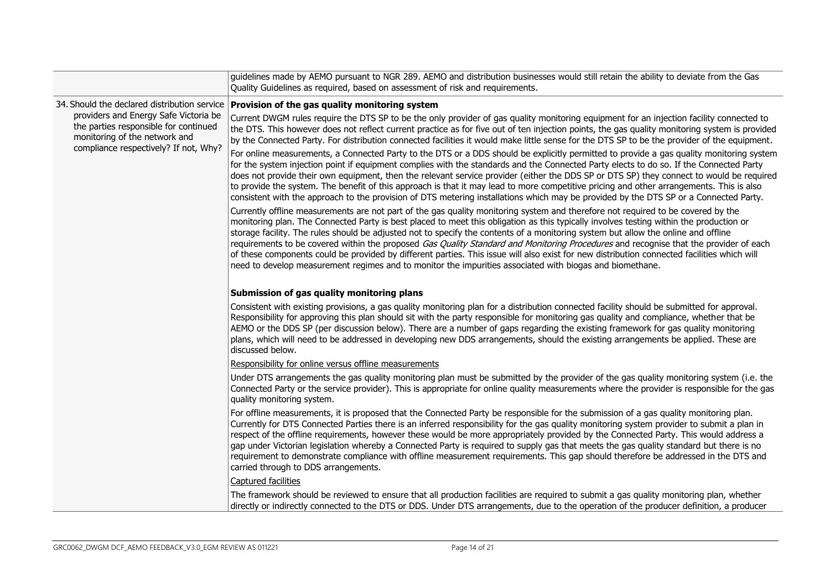|  |                                                                                                                                                          | guidelines made by AEMO pursuant to NGR 289. AEMO and distribution businesses would still retain the ability to deviate from the Gas<br>Quality Guidelines as required, based on assessment of risk and requirements.                                                                                                                                                                                                                                                                                                                                                                                                                                                                                                                                                                                                 |
|--|----------------------------------------------------------------------------------------------------------------------------------------------------------|-----------------------------------------------------------------------------------------------------------------------------------------------------------------------------------------------------------------------------------------------------------------------------------------------------------------------------------------------------------------------------------------------------------------------------------------------------------------------------------------------------------------------------------------------------------------------------------------------------------------------------------------------------------------------------------------------------------------------------------------------------------------------------------------------------------------------|
|  | 34. Should the declared distribution service                                                                                                             | Provision of the gas quality monitoring system                                                                                                                                                                                                                                                                                                                                                                                                                                                                                                                                                                                                                                                                                                                                                                        |
|  | providers and Energy Safe Victoria be<br>the parties responsible for continued<br>monitoring of the network and<br>compliance respectively? If not, Why? | Current DWGM rules require the DTS SP to be the only provider of gas quality monitoring equipment for an injection facility connected to<br>the DTS. This however does not reflect current practice as for five out of ten injection points, the gas quality monitoring system is provided<br>by the Connected Party. For distribution connected facilities it would make little sense for the DTS SP to be the provider of the equipment.                                                                                                                                                                                                                                                                                                                                                                            |
|  |                                                                                                                                                          | For online measurements, a Connected Party to the DTS or a DDS should be explicitly permitted to provide a gas quality monitoring system<br>for the system injection point if equipment complies with the standards and the Connected Party elects to do so. If the Connected Party<br>does not provide their own equipment, then the relevant service provider (either the DDS SP or DTS SP) they connect to would be required<br>to provide the system. The benefit of this approach is that it may lead to more competitive pricing and other arrangements. This is also<br>consistent with the approach to the provision of DTS metering installations which may be provided by the DTS SP or a Connected Party.                                                                                                  |
|  |                                                                                                                                                          | Currently offline measurements are not part of the gas quality monitoring system and therefore not required to be covered by the<br>monitoring plan. The Connected Party is best placed to meet this obligation as this typically involves testing within the production or<br>storage facility. The rules should be adjusted not to specify the contents of a monitoring system but allow the online and offline<br>requirements to be covered within the proposed Gas Quality Standard and Monitoring Procedures and recognise that the provider of each<br>of these components could be provided by different parties. This issue will also exist for new distribution connected facilities which will<br>need to develop measurement regimes and to monitor the impurities associated with biogas and biomethane. |
|  |                                                                                                                                                          | Submission of gas quality monitoring plans                                                                                                                                                                                                                                                                                                                                                                                                                                                                                                                                                                                                                                                                                                                                                                            |
|  |                                                                                                                                                          | Consistent with existing provisions, a gas quality monitoring plan for a distribution connected facility should be submitted for approval.<br>Responsibility for approving this plan should sit with the party responsible for monitoring gas quality and compliance, whether that be<br>AEMO or the DDS SP (per discussion below). There are a number of gaps regarding the existing framework for gas quality monitoring<br>plans, which will need to be addressed in developing new DDS arrangements, should the existing arrangements be applied. These are<br>discussed below.                                                                                                                                                                                                                                   |
|  |                                                                                                                                                          | Responsibility for online versus offline measurements                                                                                                                                                                                                                                                                                                                                                                                                                                                                                                                                                                                                                                                                                                                                                                 |
|  |                                                                                                                                                          | Under DTS arrangements the gas quality monitoring plan must be submitted by the provider of the gas quality monitoring system (i.e. the<br>Connected Party or the service provider). This is appropriate for online quality measurements where the provider is responsible for the gas<br>quality monitoring system.                                                                                                                                                                                                                                                                                                                                                                                                                                                                                                  |
|  |                                                                                                                                                          | For offline measurements, it is proposed that the Connected Party be responsible for the submission of a gas quality monitoring plan.<br>Currently for DTS Connected Parties there is an inferred responsibility for the gas quality monitoring system provider to submit a plan in<br>respect of the offline requirements, however these would be more appropriately provided by the Connected Party. This would address a<br>gap under Victorian legislation whereby a Connected Party is required to supply gas that meets the gas quality standard but there is no<br>requirement to demonstrate compliance with offline measurement requirements. This gap should therefore be addressed in the DTS and<br>carried through to DDS arrangements.                                                                  |
|  |                                                                                                                                                          | Captured facilities                                                                                                                                                                                                                                                                                                                                                                                                                                                                                                                                                                                                                                                                                                                                                                                                   |
|  |                                                                                                                                                          | The framework should be reviewed to ensure that all production facilities are required to submit a gas quality monitoring plan, whether<br>directly or indirectly connected to the DTS or DDS. Under DTS arrangements, due to the operation of the producer definition, a producer                                                                                                                                                                                                                                                                                                                                                                                                                                                                                                                                    |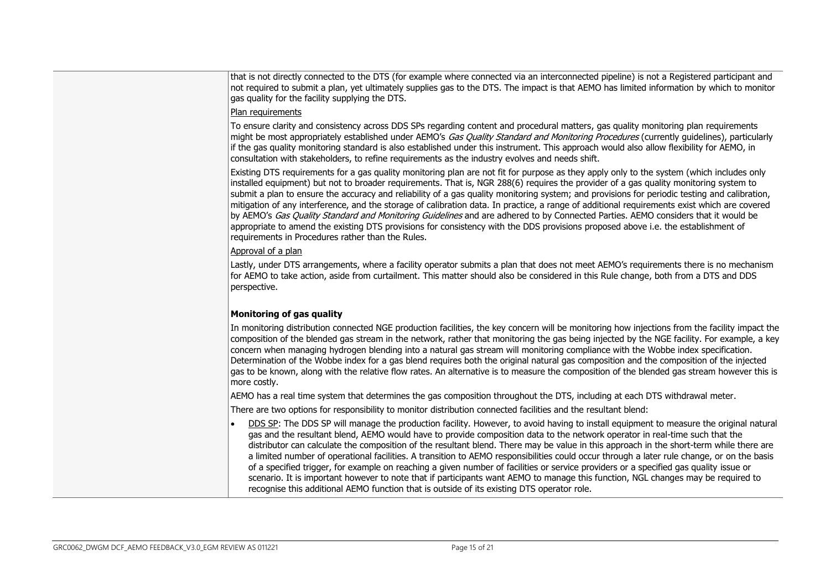that is not directly connected to the DTS (for example where connected via an interconnected pipeline) is not a Registered participant and not required to submit a plan, yet ultimately supplies gas to the DTS. The impact is that AEMO has limited information by which to monitor gas quality for the facility supplying the DTS.

#### Plan requirements

To ensure clarity and consistency across DDS SPs regarding content and procedural matters, gas quality monitoring plan requirements might be most appropriately established under AEMO's Gas Quality Standard and Monitoring Procedures (currently quidelines), particularly if the gas quality monitoring standard is also established under this instrument. This approach would also allow flexibility for AEMO, in consultation with stakeholders, to refine requirements as the industry evolves and needs shift.

Existing DTS requirements for a gas quality monitoring plan are not fit for purpose as they apply only to the system (which includes only installed equipment) but not to broader requirements. That is, NGR 288(6) requires the provider of a gas quality monitoring system to submit a plan to ensure the accuracy and reliability of a gas quality monitoring system; and provisions for periodic testing and calibration, mitigation of any interference, and the storage of calibration data. In practice, a range of additional requirements exist which are covered by AEMO's Gas Quality Standard and Monitoring Guidelines and are adhered to by Connected Parties. AEMO considers that it would be appropriate to amend the existing DTS provisions for consistency with the DDS provisions proposed above i.e. the establishment of requirements in Procedures rather than the Rules.

#### Approval of a plan

Lastly, under DTS arrangements, where a facility operator submits a plan that does not meet AEMO's requirements there is no mechanism for AEMO to take action, aside from curtailment. This matter should also be considered in this Rule change, both from a DTS and DDS perspective.

### **Monitoring of gas quality**

In monitoring distribution connected NGE production facilities, the key concern will be monitoring how injections from the facility impact the composition of the blended gas stream in the network, rather that monitoring the gas being injected by the NGE facility. For example, a key concern when managing hydrogen blending into a natural gas stream will monitoring compliance with the Wobbe index specification. Determination of the Wobbe index for a gas blend requires both the original natural gas composition and the composition of the injected gas to be known, along with the relative flow rates. An alternative is to measure the composition of the blended gas stream however this is more costly.

AEMO has a real time system that determines the gas composition throughout the DTS, including at each DTS withdrawal meter.

There are two options for responsibility to monitor distribution connected facilities and the resultant blend:

• DDS SP: The DDS SP will manage the production facility. However, to avoid having to install equipment to measure the original natural gas and the resultant blend, AEMO would have to provide composition data to the network operator in real-time such that the distributor can calculate the composition of the resultant blend. There may be value in this approach in the short-term while there are a limited number of operational facilities. A transition to AEMO responsibilities could occur through a later rule change, or on the basis of a specified trigger, for example on reaching a given number of facilities or service providers or a specified gas quality issue or scenario. It is important however to note that if participants want AEMO to manage this function, NGL changes may be required to recognise this additional AEMO function that is outside of its existing DTS operator role.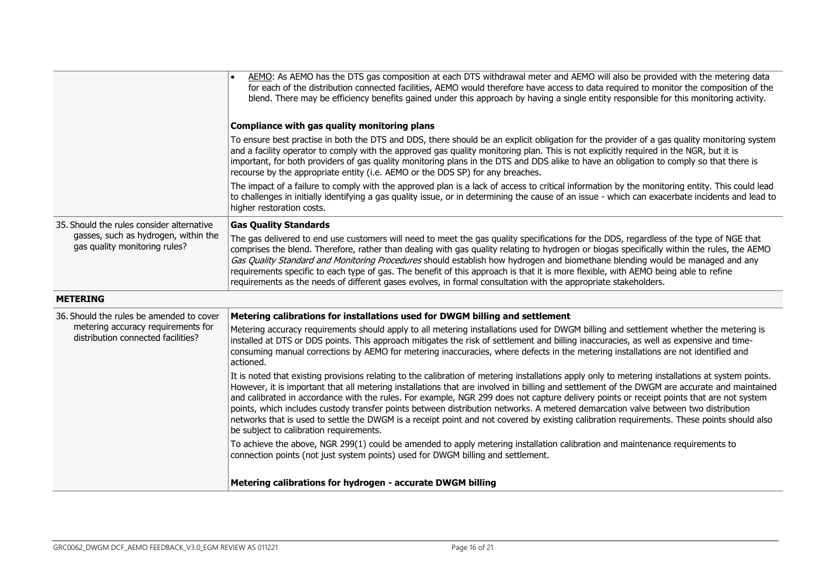|                                                                          | AEMO: As AEMO has the DTS gas composition at each DTS withdrawal meter and AEMO will also be provided with the metering data<br>for each of the distribution connected facilities, AEMO would therefore have access to data required to monitor the composition of the<br>blend. There may be efficiency benefits gained under this approach by having a single entity responsible for this monitoring activity.                                                                                                                                                                                                                                                                                                                                                             |
|--------------------------------------------------------------------------|------------------------------------------------------------------------------------------------------------------------------------------------------------------------------------------------------------------------------------------------------------------------------------------------------------------------------------------------------------------------------------------------------------------------------------------------------------------------------------------------------------------------------------------------------------------------------------------------------------------------------------------------------------------------------------------------------------------------------------------------------------------------------|
|                                                                          | Compliance with gas quality monitoring plans                                                                                                                                                                                                                                                                                                                                                                                                                                                                                                                                                                                                                                                                                                                                 |
|                                                                          | To ensure best practise in both the DTS and DDS, there should be an explicit obligation for the provider of a gas quality monitoring system<br>and a facility operator to comply with the approved gas quality monitoring plan. This is not explicitly required in the NGR, but it is<br>important, for both providers of gas quality monitoring plans in the DTS and DDS alike to have an obligation to comply so that there is<br>recourse by the appropriate entity (i.e. AEMO or the DDS SP) for any breaches.                                                                                                                                                                                                                                                           |
|                                                                          | The impact of a failure to comply with the approved plan is a lack of access to critical information by the monitoring entity. This could lead<br>to challenges in initially identifying a gas quality issue, or in determining the cause of an issue - which can exacerbate incidents and lead to<br>higher restoration costs.                                                                                                                                                                                                                                                                                                                                                                                                                                              |
| 35. Should the rules consider alternative                                | <b>Gas Quality Standards</b>                                                                                                                                                                                                                                                                                                                                                                                                                                                                                                                                                                                                                                                                                                                                                 |
| gasses, such as hydrogen, within the<br>gas quality monitoring rules?    | The gas delivered to end use customers will need to meet the gas quality specifications for the DDS, regardless of the type of NGE that<br>comprises the blend. Therefore, rather than dealing with gas quality relating to hydrogen or biogas specifically within the rules, the AEMO<br>Gas Quality Standard and Monitoring Procedures should establish how hydrogen and biomethane blending would be managed and any<br>requirements specific to each type of gas. The benefit of this approach is that it is more flexible, with AEMO being able to refine<br>requirements as the needs of different gases evolves, in formal consultation with the appropriate stakeholders.                                                                                            |
| <b>METERING</b>                                                          |                                                                                                                                                                                                                                                                                                                                                                                                                                                                                                                                                                                                                                                                                                                                                                              |
| 36. Should the rules be amended to cover                                 | Metering calibrations for installations used for DWGM billing and settlement                                                                                                                                                                                                                                                                                                                                                                                                                                                                                                                                                                                                                                                                                                 |
| metering accuracy requirements for<br>distribution connected facilities? | Metering accuracy requirements should apply to all metering installations used for DWGM billing and settlement whether the metering is<br>installed at DTS or DDS points. This approach mitigates the risk of settlement and billing inaccuracies, as well as expensive and time-<br>consuming manual corrections by AEMO for metering inaccuracies, where defects in the metering installations are not identified and<br>actioned.                                                                                                                                                                                                                                                                                                                                         |
|                                                                          | It is noted that existing provisions relating to the calibration of metering installations apply only to metering installations at system points.<br>However, it is important that all metering installations that are involved in billing and settlement of the DWGM are accurate and maintained<br>and calibrated in accordance with the rules. For example, NGR 299 does not capture delivery points or receipt points that are not system<br>points, which includes custody transfer points between distribution networks. A metered demarcation valve between two distribution<br>networks that is used to settle the DWGM is a receipt point and not covered by existing calibration requirements. These points should also<br>be subject to calibration requirements. |
|                                                                          | To achieve the above, NGR 299(1) could be amended to apply metering installation calibration and maintenance requirements to<br>connection points (not just system points) used for DWGM billing and settlement.                                                                                                                                                                                                                                                                                                                                                                                                                                                                                                                                                             |
|                                                                          | Metering calibrations for hydrogen - accurate DWGM billing                                                                                                                                                                                                                                                                                                                                                                                                                                                                                                                                                                                                                                                                                                                   |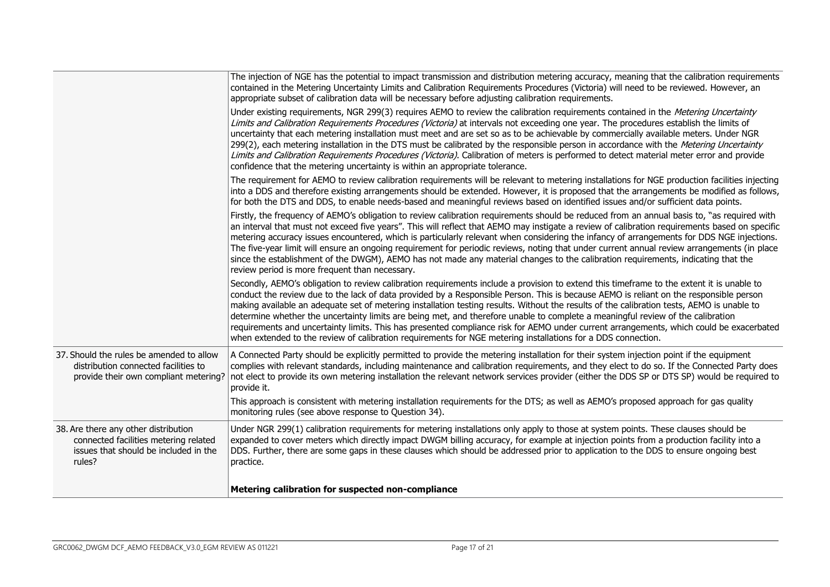|                                                                                                                                  | The injection of NGE has the potential to impact transmission and distribution metering accuracy, meaning that the calibration requirements<br>contained in the Metering Uncertainty Limits and Calibration Requirements Procedures (Victoria) will need to be reviewed. However, an<br>appropriate subset of calibration data will be necessary before adjusting calibration requirements.                                                                                                                                                                                                                                                                                                                                                                                                                                     |
|----------------------------------------------------------------------------------------------------------------------------------|---------------------------------------------------------------------------------------------------------------------------------------------------------------------------------------------------------------------------------------------------------------------------------------------------------------------------------------------------------------------------------------------------------------------------------------------------------------------------------------------------------------------------------------------------------------------------------------------------------------------------------------------------------------------------------------------------------------------------------------------------------------------------------------------------------------------------------|
|                                                                                                                                  | Under existing requirements, NGR 299(3) requires AEMO to review the calibration requirements contained in the Metering Uncertainty<br>Limits and Calibration Requirements Procedures (Victoria) at intervals not exceeding one year. The procedures establish the limits of<br>uncertainty that each metering installation must meet and are set so as to be achievable by commercially available meters. Under NGR<br>299(2), each metering installation in the DTS must be calibrated by the responsible person in accordance with the Metering Uncertainty<br>Limits and Calibration Requirements Procedures (Victoria). Calibration of meters is performed to detect material meter error and provide<br>confidence that the metering uncertainty is within an appropriate tolerance.                                       |
|                                                                                                                                  | The requirement for AEMO to review calibration requirements will be relevant to metering installations for NGE production facilities injecting<br>into a DDS and therefore existing arrangements should be extended. However, it is proposed that the arrangements be modified as follows,<br>for both the DTS and DDS, to enable needs-based and meaningful reviews based on identified issues and/or sufficient data points.                                                                                                                                                                                                                                                                                                                                                                                                  |
|                                                                                                                                  | Firstly, the frequency of AEMO's obligation to review calibration requirements should be reduced from an annual basis to, "as required with<br>an interval that must not exceed five years". This will reflect that AEMO may instigate a review of calibration requirements based on specific<br>metering accuracy issues encountered, which is particularly relevant when considering the infancy of arrangements for DDS NGE injections.<br>The five-year limit will ensure an ongoing requirement for periodic reviews, noting that under current annual review arrangements (in place<br>since the establishment of the DWGM), AEMO has not made any material changes to the calibration requirements, indicating that the<br>review period is more frequent than necessary.                                                |
|                                                                                                                                  | Secondly, AEMO's obligation to review calibration requirements include a provision to extend this timeframe to the extent it is unable to<br>conduct the review due to the lack of data provided by a Responsible Person. This is because AEMO is reliant on the responsible person<br>making available an adequate set of metering installation testing results. Without the results of the calibration tests, AEMO is unable to<br>determine whether the uncertainty limits are being met, and therefore unable to complete a meaningful review of the calibration<br>requirements and uncertainty limits. This has presented compliance risk for AEMO under current arrangements, which could be exacerbated<br>when extended to the review of calibration requirements for NGE metering installations for a DDS connection. |
| 37. Should the rules be amended to allow<br>distribution connected facilities to<br>provide their own compliant metering?        | A Connected Party should be explicitly permitted to provide the metering installation for their system injection point if the equipment<br>complies with relevant standards, including maintenance and calibration requirements, and they elect to do so. If the Connected Party does<br>not elect to provide its own metering installation the relevant network services provider (either the DDS SP or DTS SP) would be required to<br>provide it.                                                                                                                                                                                                                                                                                                                                                                            |
|                                                                                                                                  | This approach is consistent with metering installation requirements for the DTS; as well as AEMO's proposed approach for gas quality<br>monitoring rules (see above response to Question 34).                                                                                                                                                                                                                                                                                                                                                                                                                                                                                                                                                                                                                                   |
| 38. Are there any other distribution<br>connected facilities metering related<br>issues that should be included in the<br>rules? | Under NGR 299(1) calibration requirements for metering installations only apply to those at system points. These clauses should be<br>expanded to cover meters which directly impact DWGM billing accuracy, for example at injection points from a production facility into a<br>DDS. Further, there are some gaps in these clauses which should be addressed prior to application to the DDS to ensure ongoing best<br>practice.                                                                                                                                                                                                                                                                                                                                                                                               |
|                                                                                                                                  | Metering calibration for suspected non-compliance                                                                                                                                                                                                                                                                                                                                                                                                                                                                                                                                                                                                                                                                                                                                                                               |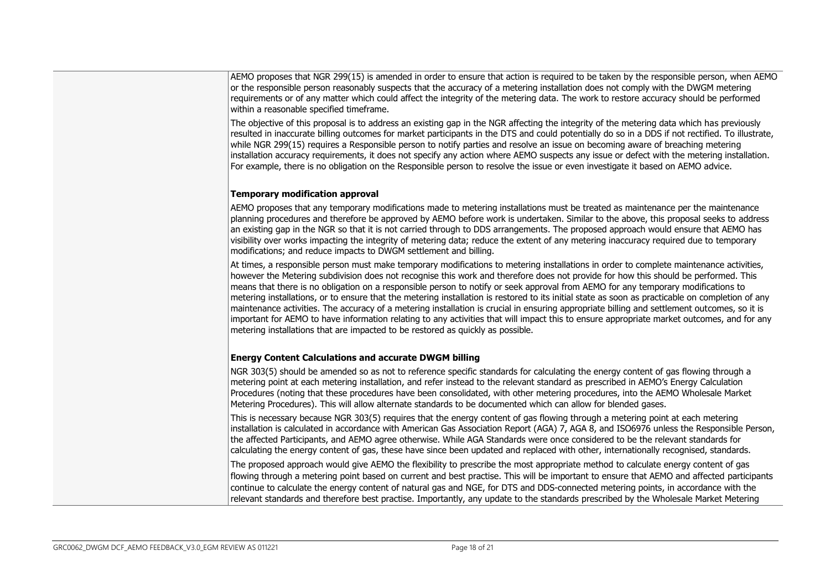AEMO proposes that NGR 299(15) is amended in order to ensure that action is required to be taken by the responsible person, when AEMO or the responsible person reasonably suspects that the accuracy of a metering installation does not comply with the DWGM metering requirements or of any matter which could affect the integrity of the metering data. The work to restore accuracy should be performed within a reasonable specified timeframe.

The objective of this proposal is to address an existing gap in the NGR affecting the integrity of the metering data which has previously resulted in inaccurate billing outcomes for market participants in the DTS and could potentially do so in a DDS if not rectified. To illustrate, while NGR 299(15) requires a Responsible person to notify parties and resolve an issue on becoming aware of breaching metering installation accuracy requirements, it does not specify any action where AEMO suspects any issue or defect with the metering installation. For example, there is no obligation on the Responsible person to resolve the issue or even investigate it based on AEMO advice.

#### **Temporary modification approval**

AEMO proposes that any temporary modifications made to metering installations must be treated as maintenance per the maintenance planning procedures and therefore be approved by AEMO before work is undertaken. Similar to the above, this proposal seeks to address an existing gap in the NGR so that it is not carried through to DDS arrangements. The proposed approach would ensure that AEMO has visibility over works impacting the integrity of metering data; reduce the extent of any metering inaccuracy required due to temporary modifications; and reduce impacts to DWGM settlement and billing.

At times, a responsible person must make temporary modifications to metering installations in order to complete maintenance activities, however the Metering subdivision does not recognise this work and therefore does not provide for how this should be performed. This means that there is no obligation on a responsible person to notify or seek approval from AEMO for any temporary modifications to metering installations, or to ensure that the metering installation is restored to its initial state as soon as practicable on completion of any maintenance activities. The accuracy of a metering installation is crucial in ensuring appropriate billing and settlement outcomes, so it is important for AEMO to have information relating to any activities that will impact this to ensure appropriate market outcomes, and for any metering installations that are impacted to be restored as quickly as possible.

#### **Energy Content Calculations and accurate DWGM billing**

NGR 303(5) should be amended so as not to reference specific standards for calculating the energy content of gas flowing through a metering point at each metering installation, and refer instead to the relevant standard as prescribed in AEMO's Energy Calculation Procedures (noting that these procedures have been consolidated, with other metering procedures, into the AEMO Wholesale Market Metering Procedures). This will allow alternate standards to be documented which can allow for blended gases.

This is necessary because NGR 303(5) requires that the energy content of gas flowing through a metering point at each metering installation is calculated in accordance with American Gas Association Report (AGA) 7, AGA 8, and ISO6976 unless the Responsible Person, the affected Participants, and AEMO agree otherwise. While AGA Standards were once considered to be the relevant standards for calculating the energy content of gas, these have since been updated and replaced with other, internationally recognised, standards.

The proposed approach would give AEMO the flexibility to prescribe the most appropriate method to calculate energy content of gas flowing through a metering point based on current and best practise. This will be important to ensure that AEMO and affected participants continue to calculate the energy content of natural gas and NGE, for DTS and DDS-connected metering points, in accordance with the relevant standards and therefore best practise. Importantly, any update to the standards prescribed by the Wholesale Market Metering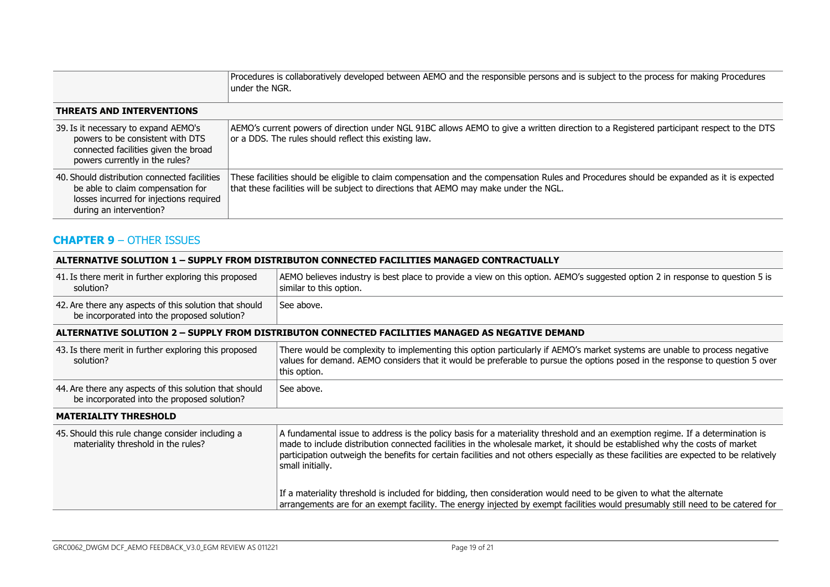|                                                                                                                                                         | Procedures is collaboratively developed between AEMO and the responsible persons and is subject to the process for making Procedures<br>under the NGR.                                                                            |
|---------------------------------------------------------------------------------------------------------------------------------------------------------|-----------------------------------------------------------------------------------------------------------------------------------------------------------------------------------------------------------------------------------|
| <b>THREATS AND INTERVENTIONS</b>                                                                                                                        |                                                                                                                                                                                                                                   |
| 39. Is it necessary to expand AEMO's<br>powers to be consistent with DTS<br>connected facilities given the broad<br>powers currently in the rules?      | AEMO's current powers of direction under NGL 91BC allows AEMO to give a written direction to a Registered participant respect to the DTS<br>or a DDS. The rules should reflect this existing law.                                 |
| 40. Should distribution connected facilities<br>be able to claim compensation for<br>losses incurred for injections required<br>during an intervention? | These facilities should be eligible to claim compensation and the compensation Rules and Procedures should be expanded as it is expected<br>that these facilities will be subject to directions that AEMO may make under the NGL. |

# **CHAPTER 9** – OTHER ISSUES

#### **ALTERNATIVE SOLUTION 1 – SUPPLY FROM DISTRIBUTON CONNECTED FACILITIES MANAGED CONTRACTUALLY**

| 41. Is there merit in further exploring this proposed<br>solution?                                    | AEMO believes industry is best place to provide a view on this option. AEMO's suggested option 2 in response to question 5 is<br>similar to this option.                                                                                                                                                                                                                                                                   |
|-------------------------------------------------------------------------------------------------------|----------------------------------------------------------------------------------------------------------------------------------------------------------------------------------------------------------------------------------------------------------------------------------------------------------------------------------------------------------------------------------------------------------------------------|
| 42. Are there any aspects of this solution that should<br>be incorporated into the proposed solution? | See above.                                                                                                                                                                                                                                                                                                                                                                                                                 |
|                                                                                                       | ALTERNATIVE SOLUTION 2 - SUPPLY FROM DISTRIBUTON CONNECTED FACILITIES MANAGED AS NEGATIVE DEMAND                                                                                                                                                                                                                                                                                                                           |
| 43. Is there merit in further exploring this proposed<br>solution?                                    | There would be complexity to implementing this option particularly if AEMO's market systems are unable to process negative<br>values for demand. AEMO considers that it would be preferable to pursue the options posed in the response to question 5 over<br>this option.                                                                                                                                                 |
| 44. Are there any aspects of this solution that should<br>be incorporated into the proposed solution? | See above.                                                                                                                                                                                                                                                                                                                                                                                                                 |
| <b>MATERIALITY THRESHOLD</b>                                                                          |                                                                                                                                                                                                                                                                                                                                                                                                                            |
| 45. Should this rule change consider including a<br>materiality threshold in the rules?               | A fundamental issue to address is the policy basis for a materiality threshold and an exemption regime. If a determination is<br>made to include distribution connected facilities in the wholesale market, it should be established why the costs of market<br>participation outweigh the benefits for certain facilities and not others especially as these facilities are expected to be relatively<br>small initially. |
|                                                                                                       | If a materiality threshold is included for bidding, then consideration would need to be given to what the alternate<br>arrangements are for an exempt facility. The energy injected by exempt facilities would presumably still need to be catered for                                                                                                                                                                     |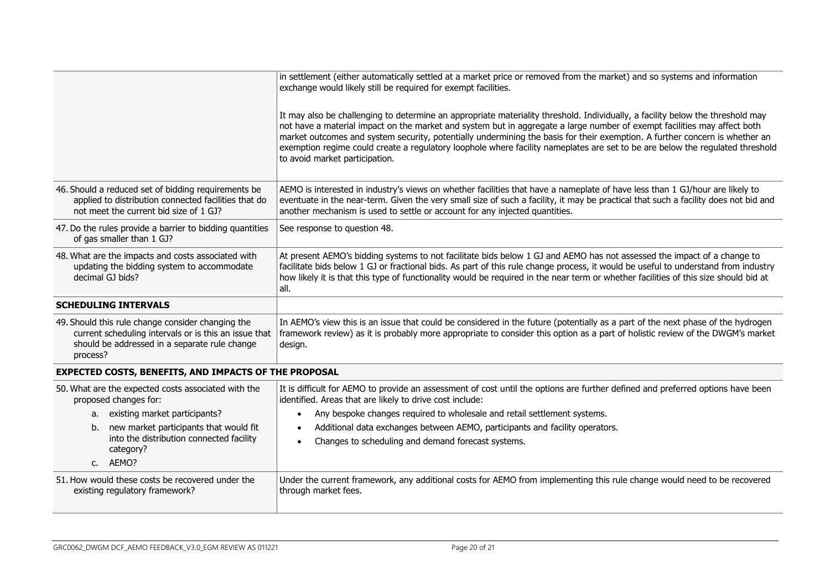|                                                                                                                                                                         | in settlement (either automatically settled at a market price or removed from the market) and so systems and information<br>exchange would likely still be required for exempt facilities.                                                                                                                                                                                                                                                                                                                                                                   |  |
|-------------------------------------------------------------------------------------------------------------------------------------------------------------------------|--------------------------------------------------------------------------------------------------------------------------------------------------------------------------------------------------------------------------------------------------------------------------------------------------------------------------------------------------------------------------------------------------------------------------------------------------------------------------------------------------------------------------------------------------------------|--|
|                                                                                                                                                                         | It may also be challenging to determine an appropriate materiality threshold. Individually, a facility below the threshold may<br>not have a material impact on the market and system but in aggregate a large number of exempt facilities may affect both<br>market outcomes and system security, potentially undermining the basis for their exemption. A further concern is whether an<br>exemption regime could create a regulatory loophole where facility nameplates are set to be are below the regulated threshold<br>to avoid market participation. |  |
| 46. Should a reduced set of bidding requirements be<br>applied to distribution connected facilities that do<br>not meet the current bid size of 1 GJ?                   | AEMO is interested in industry's views on whether facilities that have a nameplate of have less than 1 GJ/hour are likely to<br>eventuate in the near-term. Given the very small size of such a facility, it may be practical that such a facility does not bid and<br>another mechanism is used to settle or account for any injected quantities.                                                                                                                                                                                                           |  |
| 47. Do the rules provide a barrier to bidding quantities<br>of gas smaller than 1 GJ?                                                                                   | See response to question 48.                                                                                                                                                                                                                                                                                                                                                                                                                                                                                                                                 |  |
| 48. What are the impacts and costs associated with<br>updating the bidding system to accommodate<br>decimal GJ bids?                                                    | At present AEMO's bidding systems to not facilitate bids below 1 GJ and AEMO has not assessed the impact of a change to<br>facilitate bids below 1 GJ or fractional bids. As part of this rule change process, it would be useful to understand from industry<br>how likely it is that this type of functionality would be required in the near term or whether facilities of this size should bid at<br>all.                                                                                                                                                |  |
| <b>SCHEDULING INTERVALS</b>                                                                                                                                             |                                                                                                                                                                                                                                                                                                                                                                                                                                                                                                                                                              |  |
| 49. Should this rule change consider changing the<br>current scheduling intervals or is this an issue that<br>should be addressed in a separate rule change<br>process? | In AEMO's view this is an issue that could be considered in the future (potentially as a part of the next phase of the hydrogen<br>framework review) as it is probably more appropriate to consider this option as a part of holistic review of the DWGM's market<br>design.                                                                                                                                                                                                                                                                                 |  |
| <b>EXPECTED COSTS, BENEFITS, AND IMPACTS OF THE PROPOSAL</b>                                                                                                            |                                                                                                                                                                                                                                                                                                                                                                                                                                                                                                                                                              |  |
| 50. What are the expected costs associated with the<br>proposed changes for:                                                                                            | It is difficult for AEMO to provide an assessment of cost until the options are further defined and preferred options have been<br>identified. Areas that are likely to drive cost include:                                                                                                                                                                                                                                                                                                                                                                  |  |
| a. existing market participants?                                                                                                                                        | Any bespoke changes required to wholesale and retail settlement systems.<br>$\bullet$                                                                                                                                                                                                                                                                                                                                                                                                                                                                        |  |
| new market participants that would fit<br>b.<br>into the distribution connected facility<br>category?                                                                   | Additional data exchanges between AEMO, participants and facility operators.<br>Changes to scheduling and demand forecast systems.                                                                                                                                                                                                                                                                                                                                                                                                                           |  |
| c. AEMO?                                                                                                                                                                |                                                                                                                                                                                                                                                                                                                                                                                                                                                                                                                                                              |  |
| 51. How would these costs be recovered under the<br>existing regulatory framework?                                                                                      | Under the current framework, any additional costs for AEMO from implementing this rule change would need to be recovered<br>through market fees.                                                                                                                                                                                                                                                                                                                                                                                                             |  |